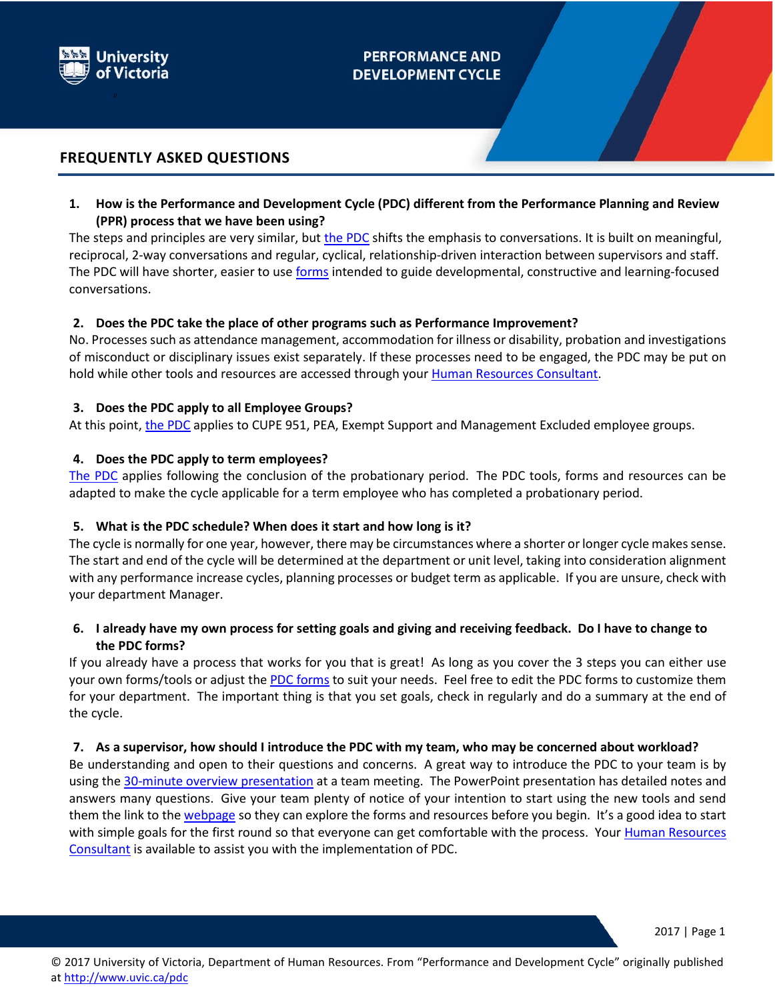

# **PERFORMANCE AND DEVELOPMENT CYCLE**

# **FREQUENTLY ASKED QUESTIONS**

**1. How is the Performance and Development Cycle (PDC) different from the Performance Planning and Review (PPR) process that we have been using?**

The steps and principles are very similar, but [the PDC](http://www.uvic.ca/hr/assets/docs/pdc/PDC%20overview.pdf) shifts the emphasis to conversations. It is built on meaningful, reciprocal, 2-way conversations and regular, cyclical, relationship-driven interaction between supervisors and staff. The PDC will have shorter, easier to us[e forms](http://www.uvic.ca/hr/assets/docs/pdc/PDC_getting%20started.pdf) intended to guide developmental, constructive and learning-focused conversations.

### **2. Does the PDC take the place of other programs such as Performance Improvement?**

No. Processes such as attendance management, accommodation for illness or disability, probation and investigations of misconduct or disciplinary issues exist separately. If these processes need to be engaged, the PDC may be put on hold while other tools and resources are accessed through your [Human Resources Consultant.](http://www.uvic.ca/hr/services/home/hr-consulting/index.php)

### **3. Does the PDC apply to all Employee Groups?**

At this point[, the PDC](http://www.uvic.ca/hr/assets/docs/pdc/PDC%20overview.pdf) applies to CUPE 951, PEA, Exempt Support and Management Excluded employee groups.

### **4. Does the PDC apply to term employees?**

[The PDC](http://www.uvic.ca/hr/assets/docs/pdc/PDC%20overview.pdf) applies following the conclusion of the probationary period. The PDC tools, forms and resources can be adapted to make the cycle applicable for a term employee who has completed a probationary period.

#### **5. What is the PDC schedule? When does it start and how long is it?**

The cycle is normally for one year, however, there may be circumstances where a shorter or longer cycle makes sense. The start and end of the cycle will be determined at the department or unit level, taking into consideration alignment with any performance increase cycles, planning processes or budget term as applicable. If you are unsure, check with your department Manager.

# **6. I already have my own process for setting goals and giving and receiving feedback. Do I have to change to the PDC forms?**

If you already have a process that works for you that is great! As long as you cover the 3 steps you can either use your own forms/tools or adjust th[e PDC forms](http://www.uvic.ca/hr/assets/docs/pdc/PDC_getting%20started.pdf) to suit your needs. Feel free to edit the PDC forms to customize them for your department. The important thing is that you set goals, check in regularly and do a summary at the end of the cycle.

#### **7. As a supervisor, how should I introduce the PDC with my team, who may be concerned about workload?**

Be understanding and open to their questions and concerns. A great way to introduce the PDC to your team is by using the [30-minute overview presentation](https://www.uvic.ca/hr/assets/docs/pdc/PDC_Overview_30minPresentation.pptx) at a team meeting. The PowerPoint presentation has detailed notes and answers many questions. Give your team plenty of notice of your intention to start using the new tools and send them the link to th[e webpage](http://www.uvic.ca/hr/services/home/pdc/index.php) so they can explore the forms and resources before you begin. It's a good idea to start with simple goals for the first round so that everyone can get comfortable with the process. Your Human Resources [Consultant](http://www.uvic.ca/hr/services/home/hr-consulting/index.php) is available to assist you with the implementation of PDC.

2017 | Page 1